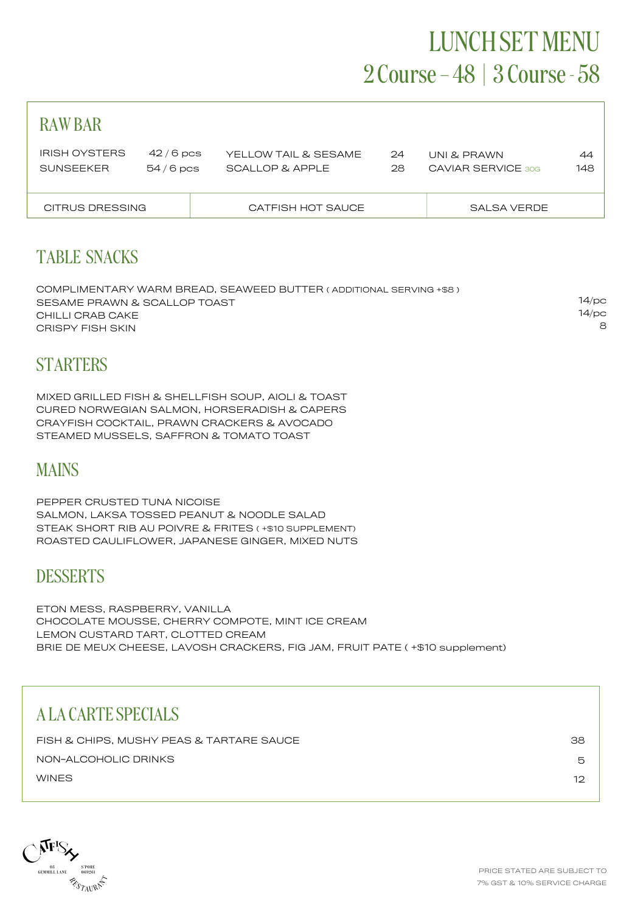## LUNCH SET MENU 2 Course – 48 | 3 Course - 58

| <b>RAWBAR</b>                            |                          |                                         |          |                                   |           |
|------------------------------------------|--------------------------|-----------------------------------------|----------|-----------------------------------|-----------|
| <b>IRISH OYSTERS</b><br><b>SUNSEEKER</b> | $42/6$ pcs<br>$54/6$ pcs | YELLOW TAIL & SESAME<br>SCALLOP & APPLE | 24<br>28 | UNI & PRAWN<br>CAVIAR SERVICE 30G | 44<br>148 |
| CITRUS DRESSING                          |                          | CATFISH HOT SAUCE                       |          | SALSA VERDE                       |           |
|                                          |                          |                                         |          |                                   |           |

## TABLE SNACKS

COMPLIMENTARY WARM BREAD, SEAWEED BUTTER ( ADDITIONAL SERVING +\$8 ) SESAME PRAWN & SCALLOP TOAST CHILLI CRAB CAKE CRISPY FISH SKIN 14/pc 14/pc 8

### **STARTERS**

MIXED GRILLED FISH & SHELLFISH SOUP, AIOLI & TOAST CURED NORWEGIAN SALMON, HORSERADISH & CAPERS CRAYFISH COCKTAIL, PRAWN CRACKERS & AVOCADO STEAMED MUSSELS, SAFFRON & TOMATO TOAST

## MAINS

PEPPER CRUSTED TUNA NICOISE SALMON, LAKSA TOSSED PEANUT & NOODLE SALAD STEAK SHORT RIB AU POIVRE & FRITES ( +\$10 SUPPLEMENT) ROASTED CAULIFLOWER, JAPANESE GINGER, MIXED NUTS

#### **DESSERTS**

ETON MESS, RASPBERRY, VANILLA CHOCOLATE MOUSSE, CHERRY COMPOTE, MINT ICE CREAM LEMON CUSTARD TART, CLOTTED CREAM BRIE DE MEUX CHEESE, LAVOSH CRACKERS, FIG JAM, FRUIT PATE ( +\$10 supplement)

## A LA CARTE SPECIALS

| FISH & CHIPS, MUSHY PEAS & TARTARE SAUCE | 38 |
|------------------------------------------|----|
| NON-ALCOHOLIC DRINKS                     | ∽  |
| WINES                                    | רו |

**NFIS**  $\begin{array}{ccccc} & & & & & \\ & & & & & \\ \text{GEMMILL LANE} & & & & & \\ \text{GEMMILL LANE} & & & & 069261 \end{array}$ **RESTAURING**